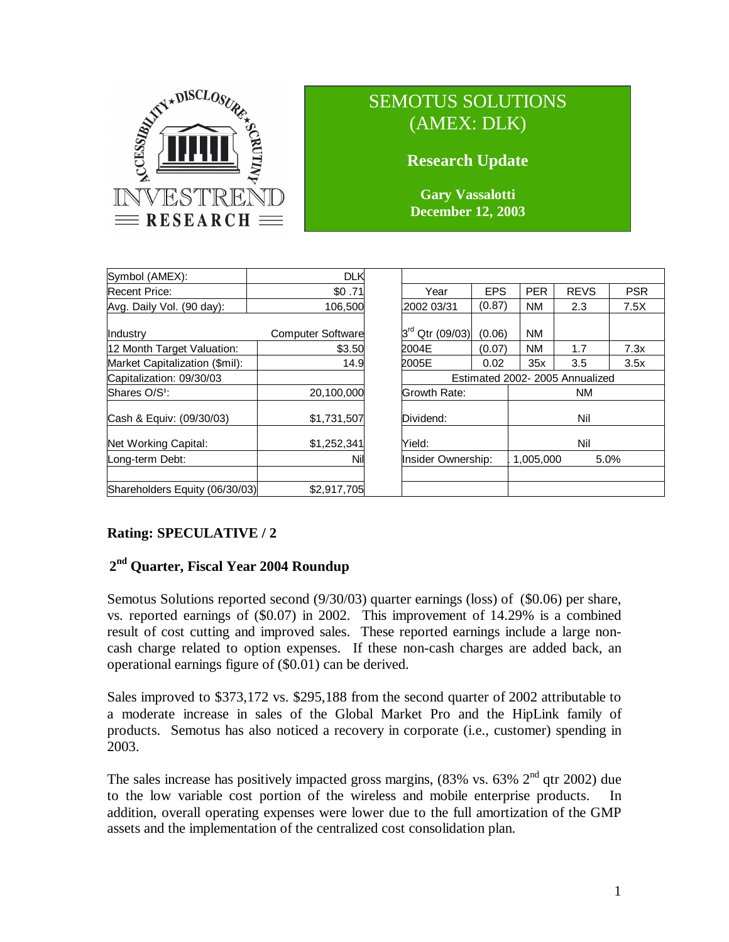

# SEMOTUS SOLUTIONS (AMEX: DLK)

# **Research Update**

**Gary Vassalotti December 12, 2003**

| Symbol (AMEX):                 | <b>DLK</b>               |                                  |        |                   |             |            |
|--------------------------------|--------------------------|----------------------------------|--------|-------------------|-------------|------------|
| <b>Recent Price:</b>           | \$0.71                   | <b>EPS</b><br>Year               |        | <b>PER</b>        | <b>REVS</b> | <b>PSR</b> |
| Avg. Daily Vol. (90 day):      | 106,500                  | (0.87)<br>2002 03/31             |        | <b>NM</b>         | 2.3         | 7.5X       |
| Industry                       | <b>Computer Software</b> | $3^{\mathsf{rd}}$<br>Qtr (09/03) | (0.06) | <b>NM</b>         |             |            |
| 12 Month Target Valuation:     | \$3.50                   | 2004E<br>(0.07)                  |        | <b>NM</b>         | 1.7         | 7.3x       |
| Market Capitalization (\$mil): | 14.9                     | 2005E                            | 0.02   | 35x               | 3.5         | 3.5x       |
| Capitalization: 09/30/03       |                          | Estimated 2002-2005 Annualized   |        |                   |             |            |
| Shares O/S <sup>1</sup> :      | 20,100,000               | Growth Rate:                     |        | <b>NM</b>         |             |            |
| Cash & Equiv: (09/30/03)       | \$1,731,507              | Dividend:                        |        | Nil               |             |            |
| Net Working Capital:           | \$1,252,341              | Yield:                           |        | Nil               |             |            |
| Long-term Debt:                | Nil                      | Insider Ownership:               |        | 1.005.000<br>5.0% |             |            |
| Shareholders Equity (06/30/03) | \$2,917,705              |                                  |        |                   |             |            |

| Year                             | <b>EPS</b> |                   | <b>PER</b> | <b>REVS</b> | <b>PSR</b> |  |  |  |  |
|----------------------------------|------------|-------------------|------------|-------------|------------|--|--|--|--|
| 2002 03/31                       | (0.87)     |                   | <b>NM</b>  | 2.3         | 7.5X       |  |  |  |  |
| $3^{\mathsf{rd}}$<br>Qtr (09/03) | (0.06)     |                   | <b>NM</b>  |             |            |  |  |  |  |
| 2004E                            | (0.07)     |                   | <b>NM</b>  | 1.7         | 7.3x       |  |  |  |  |
| 2005E                            | 0.02       |                   | 35x        | 3.5         | 3.5x       |  |  |  |  |
| Estimated 2002- 2005 Annualized  |            |                   |            |             |            |  |  |  |  |
| Growth Rate:                     |            | ΝM                |            |             |            |  |  |  |  |
| Dividend:                        |            |                   | Nil        |             |            |  |  |  |  |
| Yield:                           |            |                   |            | Nil         |            |  |  |  |  |
| Insider Ownership:               |            | 1,005,000<br>5.0% |            |             |            |  |  |  |  |
|                                  |            |                   |            |             |            |  |  |  |  |
|                                  |            |                   |            |             |            |  |  |  |  |

# **Rating: SPECULATIVE / 2**

# **2 nd Quarter, Fiscal Year 2004 Roundup**

Semotus Solutions reported second (9/30/03) quarter earnings (loss) of (\$0.06) per share, vs. reported earnings of (\$0.07) in 2002. This improvement of 14.29% is a combined result of cost cutting and improved sales. These reported earnings include a large noncash charge related to option expenses. If these non-cash charges are added back, an operational earnings figure of (\$0.01) can be derived.

Sales improved to \$373,172 vs. \$295,188 from the second quarter of 2002 attributable to a moderate increase in sales of the Global Market Pro and the HipLink family of products. Semotus has also noticed a recovery in corporate (i.e., customer) spending in 2003.

The sales increase has positively impacted gross margins,  $(83\%$  vs.  $63\%$   $2<sup>nd</sup>$  qtr 2002) due to the low variable cost portion of the wireless and mobile enterprise products. In addition, overall operating expenses were lower due to the full amortization of the GMP assets and the implementation of the centralized cost consolidation plan.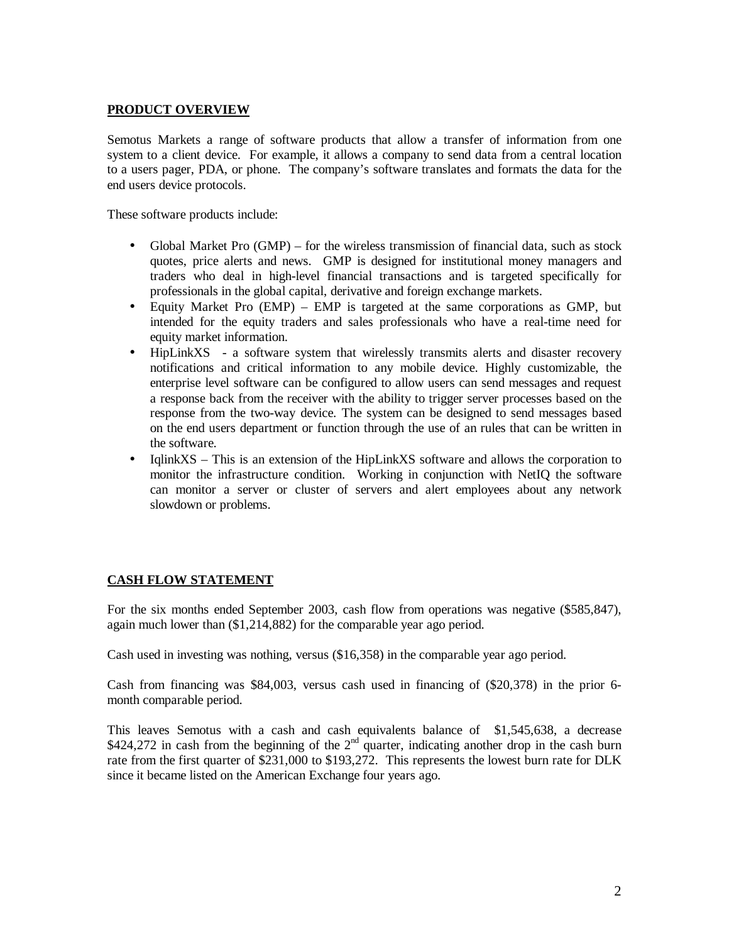#### **PRODUCT OVERVIEW**

Semotus Markets a range of software products that allow a transfer of information from one system to a client device. For example, it allows a company to send data from a central location to a users pager, PDA, or phone. The company's software translates and formats the data for the end users device protocols.

These software products include:

- Global Market Pro (GMP) for the wireless transmission of financial data, such as stock quotes, price alerts and news. GMP is designed for institutional money managers and traders who deal in high-level financial transactions and is targeted specifically for professionals in the global capital, derivative and foreign exchange markets.
- Equity Market Pro (EMP) EMP is targeted at the same corporations as GMP, but intended for the equity traders and sales professionals who have a real-time need for equity market information.
- HipLinkXS a software system that wirelessly transmits alerts and disaster recovery notifications and critical information to any mobile device. Highly customizable, the enterprise level software can be configured to allow users can send messages and request a response back from the receiver with the ability to trigger server processes based on the response from the two-way device. The system can be designed to send messages based on the end users department or function through the use of an rules that can be written in the software.
- IqlinkXS This is an extension of the HipLinkXS software and allows the corporation to monitor the infrastructure condition. Working in conjunction with NetIQ the software can monitor a server or cluster of servers and alert employees about any network slowdown or problems.

#### **CASH FLOW STATEMENT**

For the six months ended September 2003, cash flow from operations was negative (\$585,847), again much lower than (\$1,214,882) for the comparable year ago period.

Cash used in investing was nothing, versus (\$16,358) in the comparable year ago period.

Cash from financing was \$84,003, versus cash used in financing of (\$20,378) in the prior 6 month comparable period.

This leaves Semotus with a cash and cash equivalents balance of \$1,545,638, a decrease \$424,272 in cash from the beginning of the  $2<sup>nd</sup>$  quarter, indicating another drop in the cash burn rate from the first quarter of \$231,000 to \$193,272. This represents the lowest burn rate for DLK since it became listed on the American Exchange four years ago.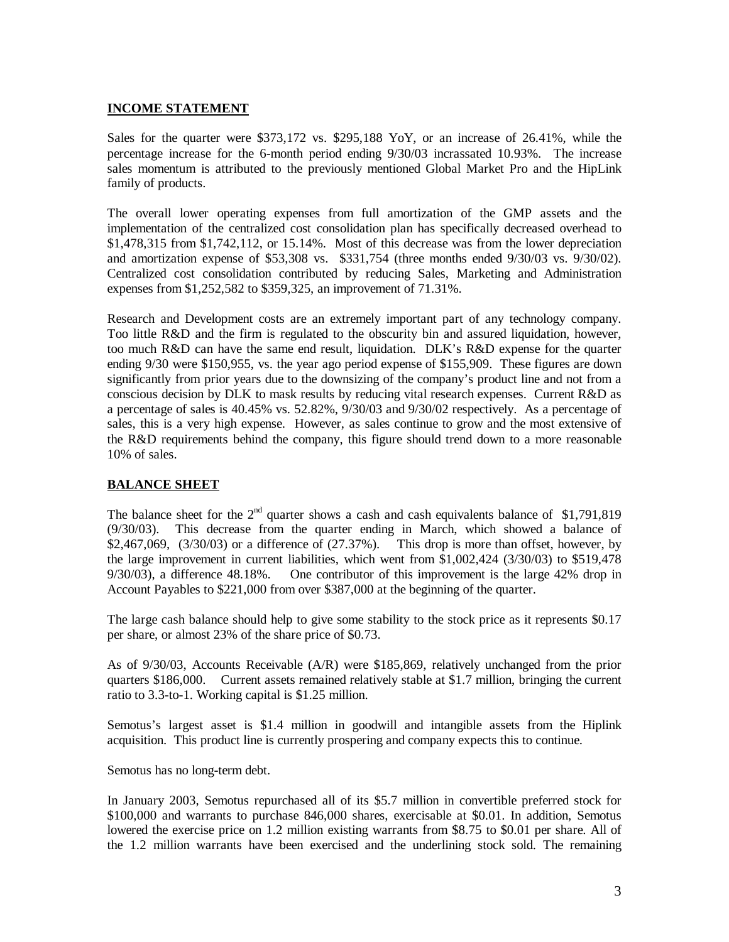#### **INCOME STATEMENT**

Sales for the quarter were \$373,172 vs. \$295,188 YoY, or an increase of 26.41%, while the percentage increase for the 6-month period ending 9/30/03 incrassated 10.93%. The increase sales momentum is attributed to the previously mentioned Global Market Pro and the HipLink family of products.

The overall lower operating expenses from full amortization of the GMP assets and the implementation of the centralized cost consolidation plan has specifically decreased overhead to \$1,478,315 from \$1,742,112, or 15.14%. Most of this decrease was from the lower depreciation and amortization expense of \$53,308 vs. \$331,754 (three months ended 9/30/03 vs. 9/30/02). Centralized cost consolidation contributed by reducing Sales, Marketing and Administration expenses from \$1,252,582 to \$359,325, an improvement of 71.31%.

Research and Development costs are an extremely important part of any technology company. Too little R&D and the firm is regulated to the obscurity bin and assured liquidation, however, too much R&D can have the same end result, liquidation. DLK's R&D expense for the quarter ending 9/30 were \$150,955, vs. the year ago period expense of \$155,909. These figures are down significantly from prior years due to the downsizing of the company's product line and not from a conscious decision by DLK to mask results by reducing vital research expenses. Current R&D as a percentage of sales is 40.45% vs. 52.82%, 9/30/03 and 9/30/02 respectively. As a percentage of sales, this is a very high expense. However, as sales continue to grow and the most extensive of the R&D requirements behind the company, this figure should trend down to a more reasonable 10% of sales.

### **BALANCE SHEET**

The balance sheet for the  $2<sup>nd</sup>$  quarter shows a cash and cash equivalents balance of \$1,791,819 (9/30/03). This decrease from the quarter ending in March, which showed a balance of  $$2,467,069, (3/30/03)$  or a difference of  $(27.37%)$ . This drop is more than offset, however, by the large improvement in current liabilities, which went from \$1,002,424 (3/30/03) to \$519,478 9/30/03), a difference 48.18%. One contributor of this improvement is the large 42% drop in Account Payables to \$221,000 from over \$387,000 at the beginning of the quarter.

The large cash balance should help to give some stability to the stock price as it represents \$0.17 per share, or almost 23% of the share price of \$0.73.

As of 9/30/03, Accounts Receivable (A/R) were \$185,869, relatively unchanged from the prior quarters \$186,000. Current assets remained relatively stable at \$1.7 million, bringing the current ratio to 3.3-to-1. Working capital is \$1.25 million.

Semotus's largest asset is \$1.4 million in goodwill and intangible assets from the Hiplink acquisition. This product line is currently prospering and company expects this to continue.

Semotus has no long-term debt.

In January 2003, Semotus repurchased all of its \$5.7 million in convertible preferred stock for \$100,000 and warrants to purchase 846,000 shares, exercisable at \$0.01. In addition, Semotus lowered the exercise price on 1.2 million existing warrants from \$8.75 to \$0.01 per share. All of the 1.2 million warrants have been exercised and the underlining stock sold. The remaining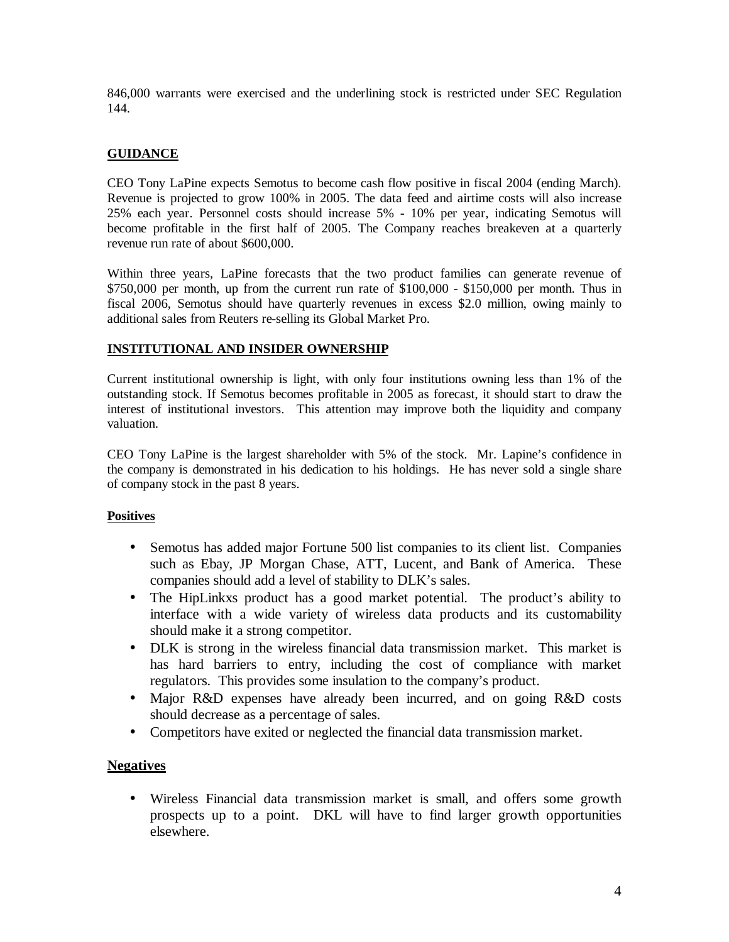846,000 warrants were exercised and the underlining stock is restricted under SEC Regulation 144.

### **GUIDANCE**

CEO Tony LaPine expects Semotus to become cash flow positive in fiscal 2004 (ending March). Revenue is projected to grow 100% in 2005. The data feed and airtime costs will also increase 25% each year. Personnel costs should increase 5% - 10% per year, indicating Semotus will become profitable in the first half of 2005. The Company reaches breakeven at a quarterly revenue run rate of about \$600,000.

Within three years, LaPine forecasts that the two product families can generate revenue of  $$750,000$  per month, up from the current run rate of  $$100,000$  -  $$150,000$  per month. Thus in fiscal 2006, Semotus should have quarterly revenues in excess \$2.0 million, owing mainly to additional sales from Reuters re-selling its Global Market Pro.

#### **INSTITUTIONAL AND INSIDER OWNERSHIP**

Current institutional ownership is light, with only four institutions owning less than 1% of the outstanding stock. If Semotus becomes profitable in 2005 as forecast, it should start to draw the interest of institutional investors. This attention may improve both the liquidity and company valuation.

CEO Tony LaPine is the largest shareholder with 5% of the stock. Mr. Lapine's confidence in the company is demonstrated in his dedication to his holdings. He has never sold a single share of company stock in the past 8 years.

#### **Positives**

- Semotus has added major Fortune 500 list companies to its client list. Companies such as Ebay, JP Morgan Chase, ATT, Lucent, and Bank of America. These companies should add a level of stability to DLK's sales.
- The HipLinkxs product has a good market potential. The product's ability to interface with a wide variety of wireless data products and its customability should make it a strong competitor.
- DLK is strong in the wireless financial data transmission market. This market is has hard barriers to entry, including the cost of compliance with market regulators. This provides some insulation to the company's product.
- Major R&D expenses have already been incurred, and on going R&D costs should decrease as a percentage of sales.
- Competitors have exited or neglected the financial data transmission market.

### **Negatives**

• Wireless Financial data transmission market is small, and offers some growth prospects up to a point. DKL will have to find larger growth opportunities elsewhere.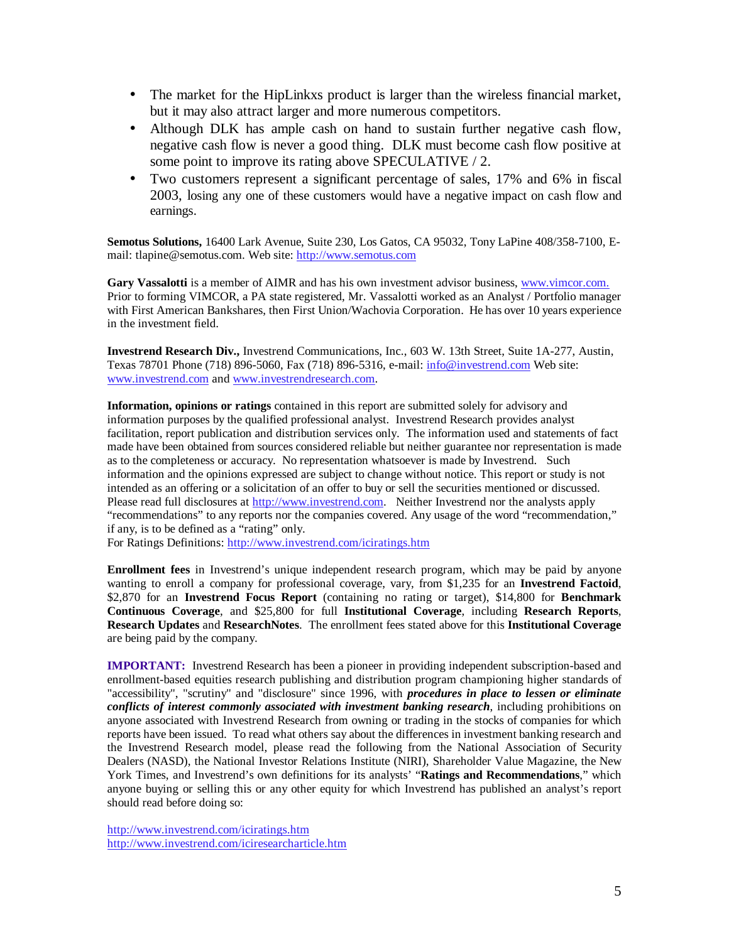- The market for the HipLinkxs product is larger than the wireless financial market, but it may also attract larger and more numerous competitors.
- Although DLK has ample cash on hand to sustain further negative cash flow, negative cash flow is never a good thing. DLK must become cash flow positive at some point to improve its rating above SPECULATIVE / 2.
- Two customers represent a significant percentage of sales, 17% and 6% in fiscal 2003, losing any one of these customers would have a negative impact on cash flow and earnings.

**Semotus Solutions,** 16400 Lark Avenue, Suite 230, Los Gatos, CA 95032, Tony LaPine 408/358-7100, Email: tlapine@semotus.com. Web site: http://www.semotus.com

**Gary Vassalotti** is a member of AIMR and has his own investment advisor business, www.vimcor.com. Prior to forming VIMCOR, a PA state registered, Mr. Vassalotti worked as an Analyst / Portfolio manager with First American Bankshares, then First Union/Wachovia Corporation. He has over 10 years experience in the investment field.

**Investrend Research Div.,** Investrend Communications, Inc., 603 W. 13th Street, Suite 1A-277, Austin, Texas 78701 Phone (718) 896-5060, Fax (718) 896-5316, e-mail: info@investrend.com Web site: www.investrend.com and www.investrendresearch.com.

**Information, opinions or ratings** contained in this report are submitted solely for advisory and information purposes by the qualified professional analyst. Investrend Research provides analyst facilitation, report publication and distribution services only. The information used and statements of fact made have been obtained from sources considered reliable but neither guarantee nor representation is made as to the completeness or accuracy. No representation whatsoever is made by Investrend. Such information and the opinions expressed are subject to change without notice. This report or study is not intended as an offering or a solicitation of an offer to buy or sell the securities mentioned or discussed. Please read full disclosures at http://www.investrend.com. Neither Investrend nor the analysts apply "recommendations" to any reports nor the companies covered. Any usage of the word "recommendation," if any, is to be defined as a "rating" only.

For Ratings Definitions: http://www.investrend.com/iciratings.htm

**Enrollment fees** in Investrend's unique independent research program, which may be paid by anyone wanting to enroll a company for professional coverage, vary, from \$1,235 for an **Investrend Factoid**, \$2,870 for an **Investrend Focus Report** (containing no rating or target), \$14,800 for **Benchmark Continuous Coverage**, and \$25,800 for full **Institutional Coverage**, including **Research Reports**, **Research Updates** and **ResearchNotes**. The enrollment fees stated above for this **Institutional Coverage** are being paid by the company.

**IMPORTANT:** Investrend Research has been a pioneer in providing independent subscription-based and enrollment-based equities research publishing and distribution program championing higher standards of "accessibility", "scrutiny" and "disclosure" since 1996, with *procedures in place to lessen or eliminate conflicts of interest commonly associated with investment banking research*, including prohibitions on anyone associated with Investrend Research from owning or trading in the stocks of companies for which reports have been issued. To read what others say about the differences in investment banking research and the Investrend Research model, please read the following from the National Association of Security Dealers (NASD), the National Investor Relations Institute (NIRI), Shareholder Value Magazine, the New York Times, and Investrend's own definitions for its analysts' "**Ratings and Recommendations**," which anyone buying or selling this or any other equity for which Investrend has published an analyst's report should read before doing so:

http://www.investrend.com/iciratings.htm http://www.investrend.com/iciresearcharticle.htm